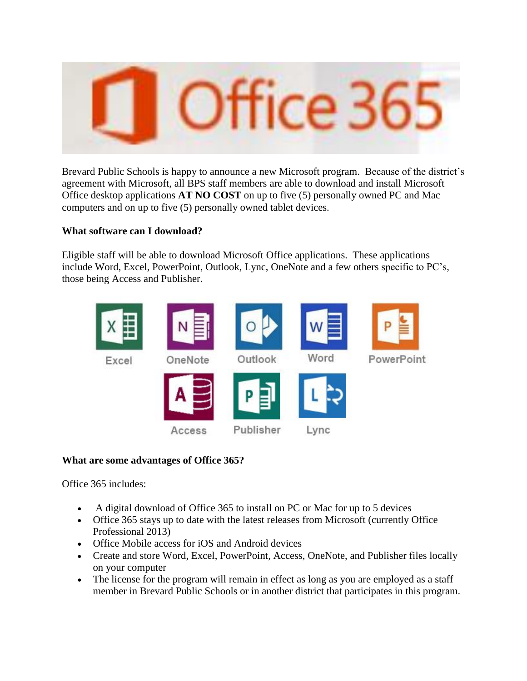

Brevard Public Schools is happy to announce a new Microsoft program. Because of the district's agreement with Microsoft, all BPS staff members are able to download and install Microsoft Office desktop applications **AT NO COST** on up to five (5) personally owned PC and Mac computers and on up to five (5) personally owned tablet devices.

## **What software can I download?**

Eligible staff will be able to download Microsoft Office applications. These applications include Word, Excel, PowerPoint, Outlook, Lync, OneNote and a few others specific to PC's, those being Access and Publisher.



# **What are some advantages of Office 365?**

Office 365 includes:

- A digital download of Office 365 to install on PC or Mac for up to 5 devices
- Office 365 stays up to date with the latest releases from Microsoft (currently Office Professional 2013)
- Office Mobile access for iOS and Android devices
- Create and store Word, Excel, PowerPoint, Access, OneNote, and Publisher files locally on your computer
- The license for the program will remain in effect as long as you are employed as a staff member in Brevard Public Schools or in another district that participates in this program.